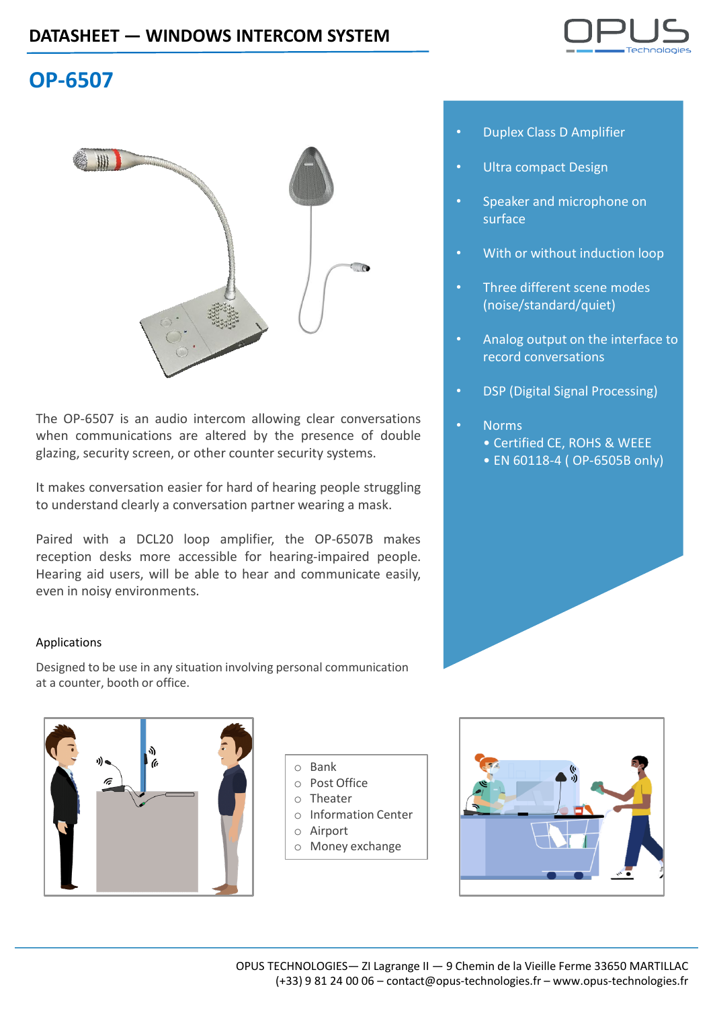

## **OP-6507**



The OP-6507 is an audio intercom allowing clear conversations when communications are altered by the presence of double glazing, security screen, or other counter security systems.

It makes conversation easier for hard of hearing people struggling to understand clearly a conversation partner wearing a mask.

Paired with a DCL20 loop amplifier, the OP-6507B makes reception desks more accessible for hearing-impaired people. Hearing aid users, will be able to hear and communicate easily, even in noisy environments.

### Applications

Designed to be use in any situation involving personal communication at a counter, booth or office.



- o Post Office
- o Theater
- o Information Center
- o Airport
- o Money exchange



- Duplex Class D Amplifier
- Ultra compact Design
- Speaker and microphone on surface
- With or without induction loop
- Three different scene modes (noise/standard/quiet)
- Analog output on the interface to record conversations
- DSP (Digital Signal Processing)
- Norms
	- Certified CE, ROHS & WEEE
	- EN 60118-4 ( OP-6505B only)